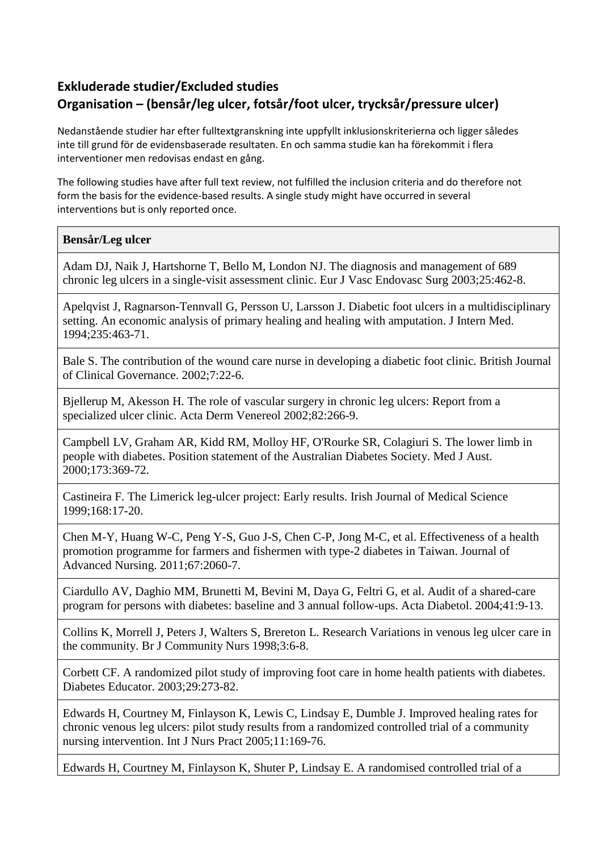## **Exkluderade studier/Excluded studies Organisation – (bensår/leg ulcer, fotsår/foot ulcer, trycksår/pressure ulcer)**

Nedanstående studier har efter fulltextgranskning inte uppfyllt inklusionskriterierna och ligger således inte till grund för de evidensbaserade resultaten. En och samma studie kan ha förekommit i flera interventioner men redovisas endast en gång.

The following studies have after full text review, not fulfilled the inclusion criteria and do therefore not form the basis for the evidence-based results. A single study might have occurred in several interventions but is only reported once.

## **Bensår/Leg ulcer**

Adam DJ, Naik J, Hartshorne T, Bello M, London NJ. The diagnosis and management of 689 chronic leg ulcers in a single-visit assessment clinic. Eur J Vasc Endovasc Surg 2003;25:462-8.

Apelqvist J, Ragnarson-Tennvall G, Persson U, Larsson J. Diabetic foot ulcers in a multidisciplinary setting. An economic analysis of primary healing and healing with amputation. J Intern Med. 1994;235:463-71.

Bale S. The contribution of the wound care nurse in developing a diabetic foot clinic. British Journal of Clinical Governance. 2002;7:22-6.

Bjellerup M, Akesson H. The role of vascular surgery in chronic leg ulcers: Report from a specialized ulcer clinic. Acta Derm Venereol 2002;82:266-9.

Campbell LV, Graham AR, Kidd RM, Molloy HF, O'Rourke SR, Colagiuri S. The lower limb in people with diabetes. Position statement of the Australian Diabetes Society. Med J Aust. 2000;173:369-72.

Castineira F. The Limerick leg-ulcer project: Early results. Irish Journal of Medical Science 1999;168:17-20.

Chen M-Y, Huang W-C, Peng Y-S, Guo J-S, Chen C-P, Jong M-C, et al. Effectiveness of a health promotion programme for farmers and fishermen with type-2 diabetes in Taiwan. Journal of Advanced Nursing. 2011;67:2060-7.

Ciardullo AV, Daghio MM, Brunetti M, Bevini M, Daya G, Feltri G, et al. Audit of a shared-care program for persons with diabetes: baseline and 3 annual follow-ups. Acta Diabetol. 2004;41:9-13.

Collins K, Morrell J, Peters J, Walters S, Brereton L. Research Variations in venous leg ulcer care in the community. Br J Community Nurs 1998;3:6-8.

Corbett CF. A randomized pilot study of improving foot care in home health patients with diabetes. Diabetes Educator. 2003;29:273-82.

Edwards H, Courtney M, Finlayson K, Lewis C, Lindsay E, Dumble J. Improved healing rates for chronic venous leg ulcers: pilot study results from a randomized controlled trial of a community nursing intervention. Int J Nurs Pract 2005;11:169-76.

Edwards H, Courtney M, Finlayson K, Shuter P, Lindsay E. A randomised controlled trial of a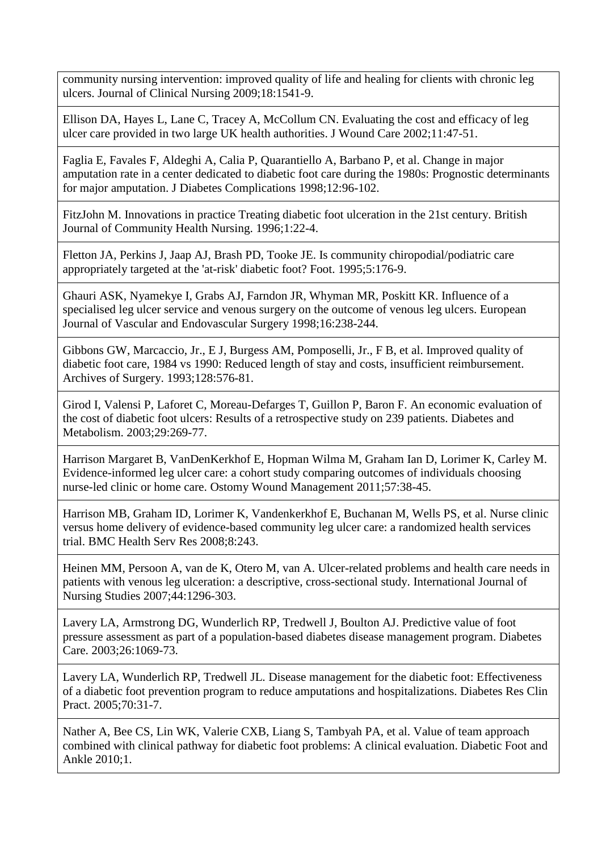community nursing intervention: improved quality of life and healing for clients with chronic leg ulcers. Journal of Clinical Nursing 2009;18:1541-9.

Ellison DA, Hayes L, Lane C, Tracey A, McCollum CN. Evaluating the cost and efficacy of leg ulcer care provided in two large UK health authorities. J Wound Care 2002;11:47-51.

Faglia E, Favales F, Aldeghi A, Calia P, Quarantiello A, Barbano P, et al. Change in major amputation rate in a center dedicated to diabetic foot care during the 1980s: Prognostic determinants for major amputation. J Diabetes Complications 1998;12:96-102.

FitzJohn M. Innovations in practice Treating diabetic foot ulceration in the 21st century. British Journal of Community Health Nursing. 1996;1:22-4.

Fletton JA, Perkins J, Jaap AJ, Brash PD, Tooke JE. Is community chiropodial/podiatric care appropriately targeted at the 'at-risk' diabetic foot? Foot. 1995;5:176-9.

Ghauri ASK, Nyamekye I, Grabs AJ, Farndon JR, Whyman MR, Poskitt KR. Influence of a specialised leg ulcer service and venous surgery on the outcome of venous leg ulcers. European Journal of Vascular and Endovascular Surgery 1998;16:238-244.

Gibbons GW, Marcaccio, Jr., E J, Burgess AM, Pomposelli, Jr., F B, et al. Improved quality of diabetic foot care, 1984 vs 1990: Reduced length of stay and costs, insufficient reimbursement. Archives of Surgery. 1993;128:576-81.

Girod I, Valensi P, Laforet C, Moreau-Defarges T, Guillon P, Baron F. An economic evaluation of the cost of diabetic foot ulcers: Results of a retrospective study on 239 patients. Diabetes and Metabolism. 2003;29:269-77.

Harrison Margaret B, VanDenKerkhof E, Hopman Wilma M, Graham Ian D, Lorimer K, Carley M. Evidence-informed leg ulcer care: a cohort study comparing outcomes of individuals choosing nurse-led clinic or home care. Ostomy Wound Management 2011;57:38-45.

Harrison MB, Graham ID, Lorimer K, Vandenkerkhof E, Buchanan M, Wells PS, et al. Nurse clinic versus home delivery of evidence-based community leg ulcer care: a randomized health services trial. BMC Health Serv Res 2008;8:243.

Heinen MM, Persoon A, van de K, Otero M, van A. Ulcer-related problems and health care needs in patients with venous leg ulceration: a descriptive, cross-sectional study. International Journal of Nursing Studies 2007;44:1296-303.

Lavery LA, Armstrong DG, Wunderlich RP, Tredwell J, Boulton AJ. Predictive value of foot pressure assessment as part of a population-based diabetes disease management program. Diabetes Care. 2003;26:1069-73.

Lavery LA, Wunderlich RP, Tredwell JL. Disease management for the diabetic foot: Effectiveness of a diabetic foot prevention program to reduce amputations and hospitalizations. Diabetes Res Clin Pract. 2005;70:31-7.

Nather A, Bee CS, Lin WK, Valerie CXB, Liang S, Tambyah PA, et al. Value of team approach combined with clinical pathway for diabetic foot problems: A clinical evaluation. Diabetic Foot and Ankle 2010;1.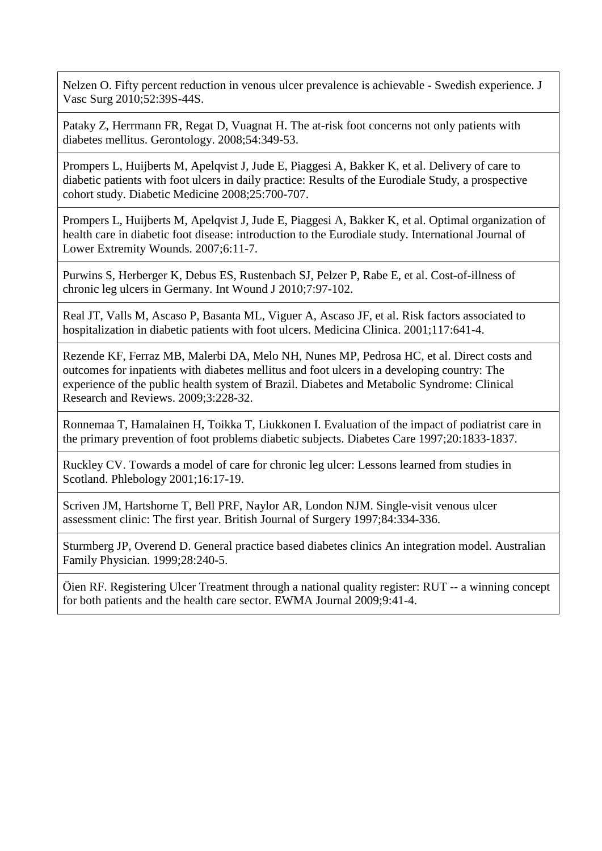Nelzen O. Fifty percent reduction in venous ulcer prevalence is achievable - Swedish experience. J Vasc Surg 2010;52:39S-44S.

Pataky Z, Herrmann FR, Regat D, Vuagnat H. The at-risk foot concerns not only patients with diabetes mellitus. Gerontology. 2008;54:349-53.

Prompers L, Huijberts M, Apelqvist J, Jude E, Piaggesi A, Bakker K, et al. Delivery of care to diabetic patients with foot ulcers in daily practice: Results of the Eurodiale Study, a prospective cohort study. Diabetic Medicine 2008;25:700-707.

Prompers L, Huijberts M, Apelqvist J, Jude E, Piaggesi A, Bakker K, et al. Optimal organization of health care in diabetic foot disease: introduction to the Eurodiale study. International Journal of Lower Extremity Wounds. 2007;6:11-7.

Purwins S, Herberger K, Debus ES, Rustenbach SJ, Pelzer P, Rabe E, et al. Cost-of-illness of chronic leg ulcers in Germany. Int Wound J 2010;7:97-102.

Real JT, Valls M, Ascaso P, Basanta ML, Viguer A, Ascaso JF, et al. Risk factors associated to hospitalization in diabetic patients with foot ulcers. Medicina Clinica. 2001;117:641-4.

Rezende KF, Ferraz MB, Malerbi DA, Melo NH, Nunes MP, Pedrosa HC, et al. Direct costs and outcomes for inpatients with diabetes mellitus and foot ulcers in a developing country: The experience of the public health system of Brazil. Diabetes and Metabolic Syndrome: Clinical Research and Reviews. 2009;3:228-32.

Ronnemaa T, Hamalainen H, Toikka T, Liukkonen I. Evaluation of the impact of podiatrist care in the primary prevention of foot problems diabetic subjects. Diabetes Care 1997;20:1833-1837.

Ruckley CV. Towards a model of care for chronic leg ulcer: Lessons learned from studies in Scotland. Phlebology 2001;16:17-19.

Scriven JM, Hartshorne T, Bell PRF, Naylor AR, London NJM. Single-visit venous ulcer assessment clinic: The first year. British Journal of Surgery 1997;84:334-336.

Sturmberg JP, Overend D. General practice based diabetes clinics An integration model. Australian Family Physician. 1999;28:240-5.

Öien RF. Registering Ulcer Treatment through a national quality register: RUT -- a winning concept for both patients and the health care sector. EWMA Journal 2009;9:41-4.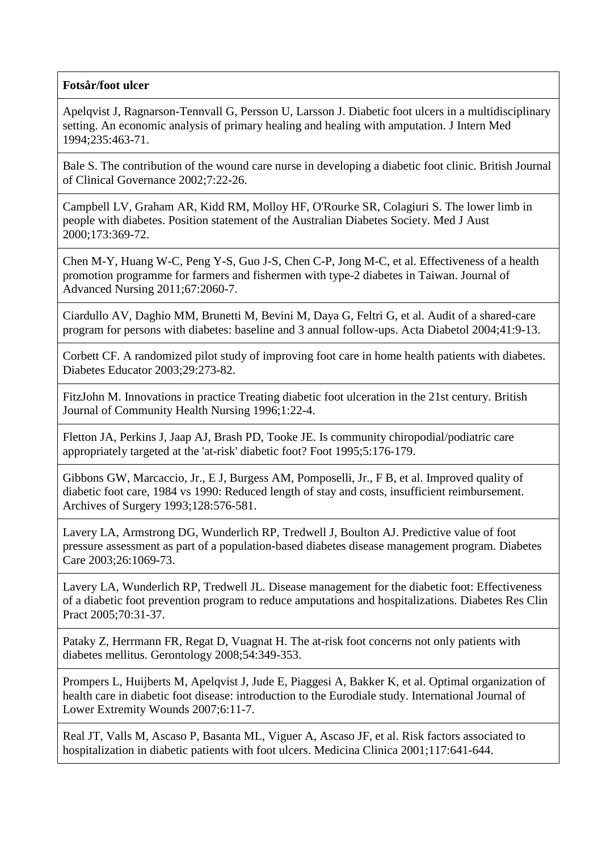## **Fotsår/foot ulcer**

Apelqvist J, Ragnarson-Tennvall G, Persson U, Larsson J. Diabetic foot ulcers in a multidisciplinary setting. An economic analysis of primary healing and healing with amputation. J Intern Med 1994;235:463-71.

Bale S. The contribution of the wound care nurse in developing a diabetic foot clinic. British Journal of Clinical Governance 2002;7:22-26.

Campbell LV, Graham AR, Kidd RM, Molloy HF, O'Rourke SR, Colagiuri S. The lower limb in people with diabetes. Position statement of the Australian Diabetes Society. Med J Aust 2000;173:369-72.

Chen M-Y, Huang W-C, Peng Y-S, Guo J-S, Chen C-P, Jong M-C, et al. Effectiveness of a health promotion programme for farmers and fishermen with type-2 diabetes in Taiwan. Journal of Advanced Nursing 2011;67:2060-7.

Ciardullo AV, Daghio MM, Brunetti M, Bevini M, Daya G, Feltri G, et al. Audit of a shared-care program for persons with diabetes: baseline and 3 annual follow-ups. Acta Diabetol 2004;41:9-13.

Corbett CF. A randomized pilot study of improving foot care in home health patients with diabetes. Diabetes Educator 2003;29:273-82.

FitzJohn M. Innovations in practice Treating diabetic foot ulceration in the 21st century. British Journal of Community Health Nursing 1996;1:22-4.

Fletton JA, Perkins J, Jaap AJ, Brash PD, Tooke JE. Is community chiropodial/podiatric care appropriately targeted at the 'at-risk' diabetic foot? Foot 1995;5:176-179.

Gibbons GW, Marcaccio, Jr., E J, Burgess AM, Pomposelli, Jr., F B, et al. Improved quality of diabetic foot care, 1984 vs 1990: Reduced length of stay and costs, insufficient reimbursement. Archives of Surgery 1993;128:576-581.

Lavery LA, Armstrong DG, Wunderlich RP, Tredwell J, Boulton AJ. Predictive value of foot pressure assessment as part of a population-based diabetes disease management program. Diabetes Care 2003;26:1069-73.

Lavery LA, Wunderlich RP, Tredwell JL. Disease management for the diabetic foot: Effectiveness of a diabetic foot prevention program to reduce amputations and hospitalizations. Diabetes Res Clin Pract 2005;70:31-37.

Pataky Z, Herrmann FR, Regat D, Vuagnat H. The at-risk foot concerns not only patients with diabetes mellitus. Gerontology 2008;54:349-353.

Prompers L, Huijberts M, Apelqvist J, Jude E, Piaggesi A, Bakker K, et al. Optimal organization of health care in diabetic foot disease: introduction to the Eurodiale study. International Journal of Lower Extremity Wounds 2007;6:11-7.

Real JT, Valls M, Ascaso P, Basanta ML, Viguer A, Ascaso JF, et al. Risk factors associated to hospitalization in diabetic patients with foot ulcers. Medicina Clinica 2001;117:641-644.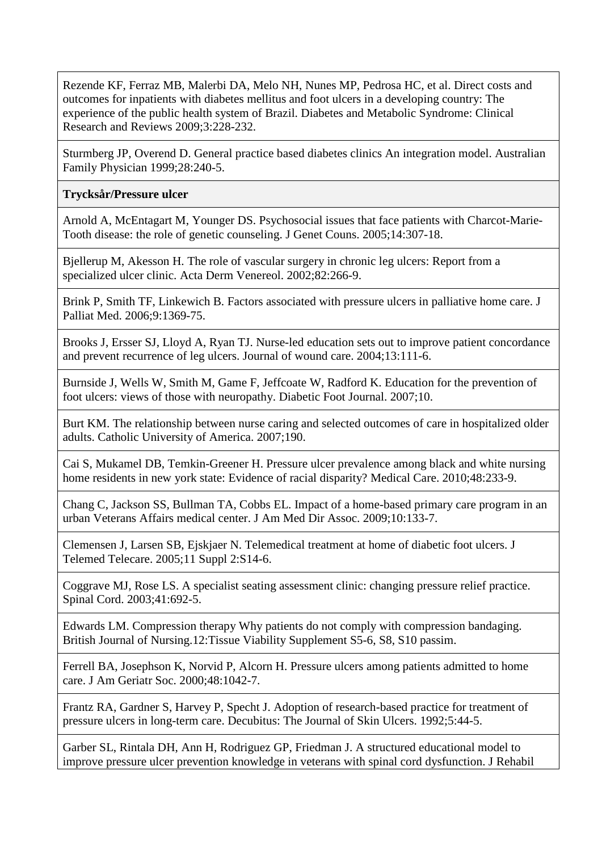Rezende KF, Ferraz MB, Malerbi DA, Melo NH, Nunes MP, Pedrosa HC, et al. Direct costs and outcomes for inpatients with diabetes mellitus and foot ulcers in a developing country: The experience of the public health system of Brazil. Diabetes and Metabolic Syndrome: Clinical Research and Reviews 2009;3:228-232.

Sturmberg JP, Overend D. General practice based diabetes clinics An integration model. Australian Family Physician 1999;28:240-5.

## **Trycksår/Pressure ulcer**

Arnold A, McEntagart M, Younger DS. Psychosocial issues that face patients with Charcot-Marie-Tooth disease: the role of genetic counseling. J Genet Couns. 2005;14:307-18.

Bjellerup M, Akesson H. The role of vascular surgery in chronic leg ulcers: Report from a specialized ulcer clinic. Acta Derm Venereol. 2002;82:266-9.

Brink P, Smith TF, Linkewich B. Factors associated with pressure ulcers in palliative home care. J Palliat Med. 2006;9:1369-75.

Brooks J, Ersser SJ, Lloyd A, Ryan TJ. Nurse-led education sets out to improve patient concordance and prevent recurrence of leg ulcers. Journal of wound care. 2004;13:111-6.

Burnside J, Wells W, Smith M, Game F, Jeffcoate W, Radford K. Education for the prevention of foot ulcers: views of those with neuropathy. Diabetic Foot Journal. 2007;10.

Burt KM. The relationship between nurse caring and selected outcomes of care in hospitalized older adults. Catholic University of America. 2007;190.

Cai S, Mukamel DB, Temkin-Greener H. Pressure ulcer prevalence among black and white nursing home residents in new york state: Evidence of racial disparity? Medical Care. 2010;48:233-9.

Chang C, Jackson SS, Bullman TA, Cobbs EL. Impact of a home-based primary care program in an urban Veterans Affairs medical center. J Am Med Dir Assoc. 2009;10:133-7.

Clemensen J, Larsen SB, Ejskjaer N. Telemedical treatment at home of diabetic foot ulcers. J Telemed Telecare. 2005;11 Suppl 2:S14-6.

Coggrave MJ, Rose LS. A specialist seating assessment clinic: changing pressure relief practice. Spinal Cord. 2003;41:692-5.

Edwards LM. Compression therapy Why patients do not comply with compression bandaging. British Journal of Nursing.12:Tissue Viability Supplement S5-6, S8, S10 passim.

Ferrell BA, Josephson K, Norvid P, Alcorn H. Pressure ulcers among patients admitted to home care. J Am Geriatr Soc. 2000;48:1042-7.

Frantz RA, Gardner S, Harvey P, Specht J. Adoption of research-based practice for treatment of pressure ulcers in long-term care. Decubitus: The Journal of Skin Ulcers. 1992;5:44-5.

Garber SL, Rintala DH, Ann H, Rodriguez GP, Friedman J. A structured educational model to improve pressure ulcer prevention knowledge in veterans with spinal cord dysfunction. J Rehabil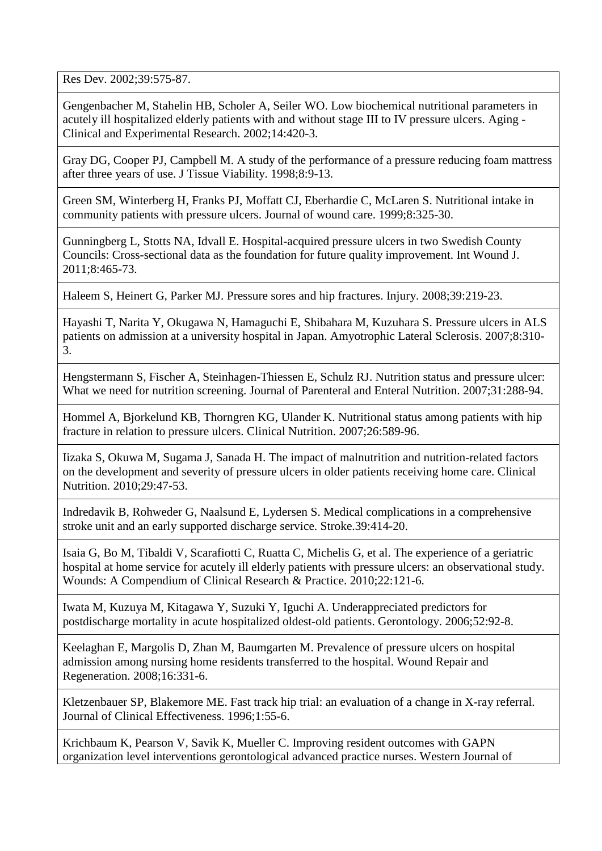Res Dev. 2002;39:575-87.

Gengenbacher M, Stahelin HB, Scholer A, Seiler WO. Low biochemical nutritional parameters in acutely ill hospitalized elderly patients with and without stage III to IV pressure ulcers. Aging - Clinical and Experimental Research. 2002;14:420-3.

Gray DG, Cooper PJ, Campbell M. A study of the performance of a pressure reducing foam mattress after three years of use. J Tissue Viability. 1998;8:9-13.

Green SM, Winterberg H, Franks PJ, Moffatt CJ, Eberhardie C, McLaren S. Nutritional intake in community patients with pressure ulcers. Journal of wound care. 1999;8:325-30.

Gunningberg L, Stotts NA, Idvall E. Hospital-acquired pressure ulcers in two Swedish County Councils: Cross-sectional data as the foundation for future quality improvement. Int Wound J. 2011;8:465-73.

Haleem S, Heinert G, Parker MJ. Pressure sores and hip fractures. Injury. 2008;39:219-23.

Hayashi T, Narita Y, Okugawa N, Hamaguchi E, Shibahara M, Kuzuhara S. Pressure ulcers in ALS patients on admission at a university hospital in Japan. Amyotrophic Lateral Sclerosis. 2007;8:310- 3.

Hengstermann S, Fischer A, Steinhagen-Thiessen E, Schulz RJ. Nutrition status and pressure ulcer: What we need for nutrition screening. Journal of Parenteral and Enteral Nutrition. 2007;31:288-94.

Hommel A, Bjorkelund KB, Thorngren KG, Ulander K. Nutritional status among patients with hip fracture in relation to pressure ulcers. Clinical Nutrition. 2007;26:589-96.

Iizaka S, Okuwa M, Sugama J, Sanada H. The impact of malnutrition and nutrition-related factors on the development and severity of pressure ulcers in older patients receiving home care. Clinical Nutrition. 2010;29:47-53.

Indredavik B, Rohweder G, Naalsund E, Lydersen S. Medical complications in a comprehensive stroke unit and an early supported discharge service. Stroke.39:414-20.

Isaia G, Bo M, Tibaldi V, Scarafiotti C, Ruatta C, Michelis G, et al. The experience of a geriatric hospital at home service for acutely ill elderly patients with pressure ulcers: an observational study. Wounds: A Compendium of Clinical Research & Practice. 2010;22:121-6.

Iwata M, Kuzuya M, Kitagawa Y, Suzuki Y, Iguchi A. Underappreciated predictors for postdischarge mortality in acute hospitalized oldest-old patients. Gerontology. 2006;52:92-8.

Keelaghan E, Margolis D, Zhan M, Baumgarten M. Prevalence of pressure ulcers on hospital admission among nursing home residents transferred to the hospital. Wound Repair and Regeneration. 2008;16:331-6.

Kletzenbauer SP, Blakemore ME. Fast track hip trial: an evaluation of a change in X-ray referral. Journal of Clinical Effectiveness. 1996;1:55-6.

Krichbaum K, Pearson V, Savik K, Mueller C. Improving resident outcomes with GAPN organization level interventions gerontological advanced practice nurses. Western Journal of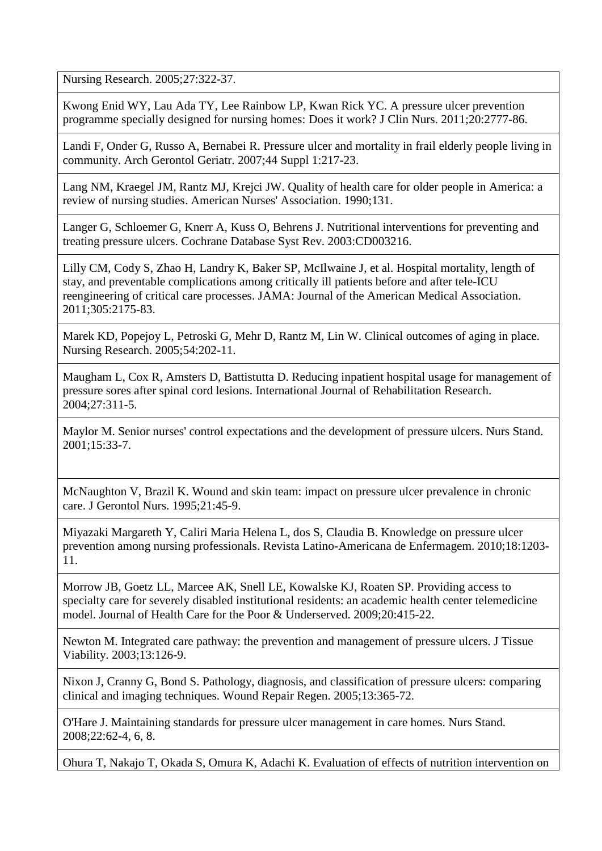Nursing Research. 2005;27:322-37.

Kwong Enid WY, Lau Ada TY, Lee Rainbow LP, Kwan Rick YC. A pressure ulcer prevention programme specially designed for nursing homes: Does it work? J Clin Nurs. 2011;20:2777-86.

Landi F, Onder G, Russo A, Bernabei R. Pressure ulcer and mortality in frail elderly people living in community. Arch Gerontol Geriatr. 2007;44 Suppl 1:217-23.

Lang NM, Kraegel JM, Rantz MJ, Krejci JW. Quality of health care for older people in America: a review of nursing studies. American Nurses' Association. 1990;131.

Langer G, Schloemer G, Knerr A, Kuss O, Behrens J. Nutritional interventions for preventing and treating pressure ulcers. Cochrane Database Syst Rev. 2003:CD003216.

Lilly CM, Cody S, Zhao H, Landry K, Baker SP, McIlwaine J, et al. Hospital mortality, length of stay, and preventable complications among critically ill patients before and after tele-ICU reengineering of critical care processes. JAMA: Journal of the American Medical Association. 2011;305:2175-83.

Marek KD, Popejoy L, Petroski G, Mehr D, Rantz M, Lin W. Clinical outcomes of aging in place. Nursing Research. 2005;54:202-11.

Maugham L, Cox R, Amsters D, Battistutta D. Reducing inpatient hospital usage for management of pressure sores after spinal cord lesions. International Journal of Rehabilitation Research. 2004;27:311-5.

Maylor M. Senior nurses' control expectations and the development of pressure ulcers. Nurs Stand. 2001;15:33-7.

McNaughton V, Brazil K. Wound and skin team: impact on pressure ulcer prevalence in chronic care. J Gerontol Nurs. 1995;21:45-9.

Miyazaki Margareth Y, Caliri Maria Helena L, dos S, Claudia B. Knowledge on pressure ulcer prevention among nursing professionals. Revista Latino-Americana de Enfermagem. 2010;18:1203- 11.

Morrow JB, Goetz LL, Marcee AK, Snell LE, Kowalske KJ, Roaten SP. Providing access to specialty care for severely disabled institutional residents: an academic health center telemedicine model. Journal of Health Care for the Poor & Underserved. 2009;20:415-22.

Newton M. Integrated care pathway: the prevention and management of pressure ulcers. J Tissue Viability. 2003;13:126-9.

Nixon J, Cranny G, Bond S. Pathology, diagnosis, and classification of pressure ulcers: comparing clinical and imaging techniques. Wound Repair Regen. 2005;13:365-72.

O'Hare J. Maintaining standards for pressure ulcer management in care homes. Nurs Stand. 2008;22:62-4, 6, 8.

Ohura T, Nakajo T, Okada S, Omura K, Adachi K. Evaluation of effects of nutrition intervention on